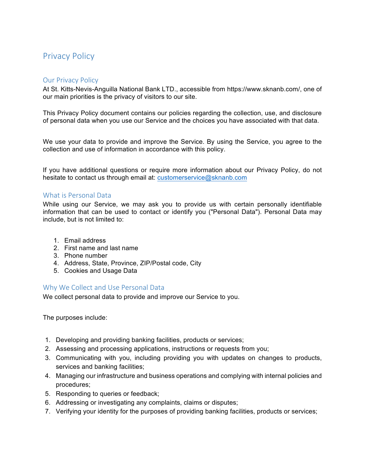# **Privacy Policy**

## Our Privacy Policy

At St. Kitts-Nevis-Anguilla National Bank LTD., accessible from https://www.sknanb.com/, one of our main priorities is the privacy of visitors to our site.

This Privacy Policy document contains our policies regarding the collection, use, and disclosure of personal data when you use our Service and the choices you have associated with that data.

We use your data to provide and improve the Service. By using the Service, you agree to the collection and use of information in accordance with this policy.

If you have additional questions or require more information about our Privacy Policy, do not hesitate to contact us through email at: customerservice@sknanb.com

## What is Personal Data

While using our Service, we may ask you to provide us with certain personally identifiable information that can be used to contact or identify you ("Personal Data"). Personal Data may include, but is not limited to:

- 1. Email address
- 2. First name and last name
- 3. Phone number
- 4. Address, State, Province, ZIP/Postal code, City
- 5. Cookies and Usage Data

## Why We Collect and Use Personal Data

We collect personal data to provide and improve our Service to you.

The purposes include:

- 1. Developing and providing banking facilities, products or services;
- 2. Assessing and processing applications, instructions or requests from you;
- 3. Communicating with you, including providing you with updates on changes to products, services and banking facilities;
- 4. Managing our infrastructure and business operations and complying with internal policies and procedures;
- 5. Responding to queries or feedback;
- 6. Addressing or investigating any complaints, claims or disputes;
- 7. Verifying your identity for the purposes of providing banking facilities, products or services;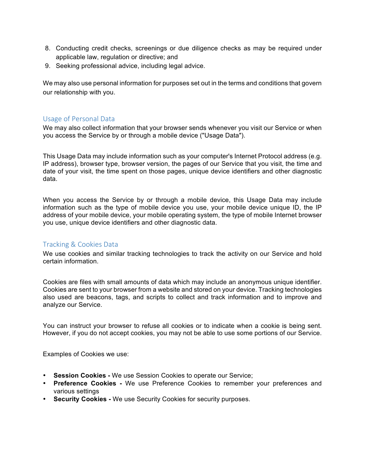- 8. Conducting credit checks, screenings or due diligence checks as may be required under applicable law, regulation or directive; and
- 9. Seeking professional advice, including legal advice.

We may also use personal information for purposes set out in the terms and conditions that govern our relationship with you.

## Usage of Personal Data

We may also collect information that your browser sends whenever you visit our Service or when you access the Service by or through a mobile device ("Usage Data").

This Usage Data may include information such as your computer's Internet Protocol address (e.g. IP address), browser type, browser version, the pages of our Service that you visit, the time and date of your visit, the time spent on those pages, unique device identifiers and other diagnostic data.

When you access the Service by or through a mobile device, this Usage Data may include information such as the type of mobile device you use, your mobile device unique ID, the IP address of your mobile device, your mobile operating system, the type of mobile Internet browser you use, unique device identifiers and other diagnostic data.

## Tracking & Cookies Data

We use cookies and similar tracking technologies to track the activity on our Service and hold certain information.

Cookies are files with small amounts of data which may include an anonymous unique identifier. Cookies are sent to your browser from a website and stored on your device. Tracking technologies also used are beacons, tags, and scripts to collect and track information and to improve and analyze our Service.

You can instruct your browser to refuse all cookies or to indicate when a cookie is being sent. However, if you do not accept cookies, you may not be able to use some portions of our Service.

Examples of Cookies we use:

- **Session Cookies -** We use Session Cookies to operate our Service;
- **Preference Cookies -** We use Preference Cookies to remember your preferences and various settings
- **Security Cookies -** We use Security Cookies for security purposes.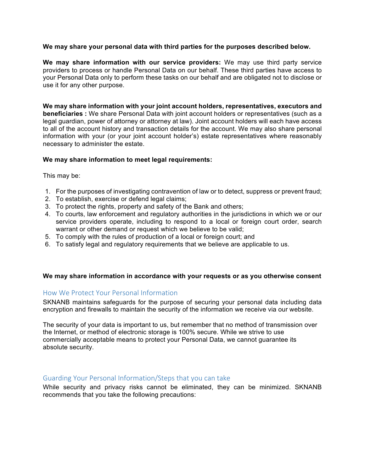#### **We may share your personal data with third parties for the purposes described below.**

**We may share information with our service providers:** We may use third party service providers to process or handle Personal Data on our behalf. These third parties have access to your Personal Data only to perform these tasks on our behalf and are obligated not to disclose or use it for any other purpose.

**We may share information with your joint account holders, representatives, executors and beneficiaries :** We share Personal Data with joint account holders or representatives (such as a legal guardian, power of attorney or attorney at law). Joint account holders will each have access to all of the account history and transaction details for the account. We may also share personal information with your (or your joint account holder's) estate representatives where reasonably necessary to administer the estate.

#### **We may share information to meet legal requirements:**

This may be:

- 1. For the purposes of investigating contravention of law or to detect, suppress or prevent fraud;
- 2. To establish, exercise or defend legal claims;
- 3. To protect the rights, property and safety of the Bank and others;
- 4. To courts, law enforcement and regulatory authorities in the jurisdictions in which we or our service providers operate, including to respond to a local or foreign court order, search warrant or other demand or request which we believe to be valid;
- 5. To comply with the rules of production of a local or foreign court; and
- 6. To satisfy legal and regulatory requirements that we believe are applicable to us.

#### **We may share information in accordance with your requests or as you otherwise consent**

## How We Protect Your Personal Information

SKNANB maintains safeguards for the purpose of securing your personal data including data encryption and firewalls to maintain the security of the information we receive via our website.

The security of your data is important to us, but remember that no method of transmission over the Internet, or method of electronic storage is 100% secure. While we strive to use commercially acceptable means to protect your Personal Data, we cannot guarantee its absolute security.

## Guarding Your Personal Information/Steps that you can take

While security and privacy risks cannot be eliminated, they can be minimized. SKNANB recommends that you take the following precautions: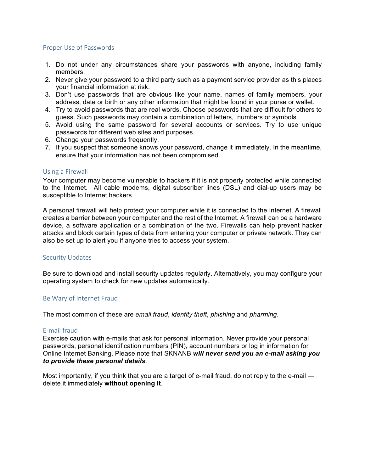#### Proper Use of Passwords

- 1. Do not under any circumstances share your passwords with anyone, including family members.
- 2. Never give your password to a third party such as a payment service provider as this places your financial information at risk.
- 3. Don't use passwords that are obvious like your name, names of family members, your address, date or birth or any other information that might be found in your purse or wallet.
- 4. Try to avoid passwords that are real words. Choose passwords that are difficult for others to guess. Such passwords may contain a combination of letters, numbers or symbols.
- 5. Avoid using the same password for several accounts or services. Try to use unique passwords for different web sites and purposes.
- 6. Change your passwords frequently.
- 7. If you suspect that someone knows your password, change it immediately. In the meantime, ensure that your information has not been compromised.

#### Using a Firewall

Your computer may become vulnerable to hackers if it is not properly protected while connected to the Internet. All cable modems, digital subscriber lines (DSL) and dial-up users may be susceptible to Internet hackers.

A personal firewall will help protect your computer while it is connected to the Internet. A firewall creates a barrier between your computer and the rest of the Internet. A firewall can be a hardware device, a software application or a combination of the two. Firewalls can help prevent hacker attacks and block certain types of data from entering your computer or private network. They can also be set up to alert you if anyone tries to access your system.

#### Security Updates

Be sure to download and install security updates regularly. Alternatively, you may configure your operating system to check for new updates automatically.

## Be Wary of Internet Fraud

The most common of these are *email fraud*, *identity theft*, *phishing* and *pharming*.

#### E-mail fraud

Exercise caution with e-mails that ask for personal information. Never provide your personal passwords, personal identification numbers (PIN), account numbers or log in information for Online Internet Banking. Please note that SKNANB *will never send you an e-mail asking you to provide these personal details*.

Most importantly, if you think that you are a target of e-mail fraud, do not reply to the e-mail delete it immediately **without opening it**.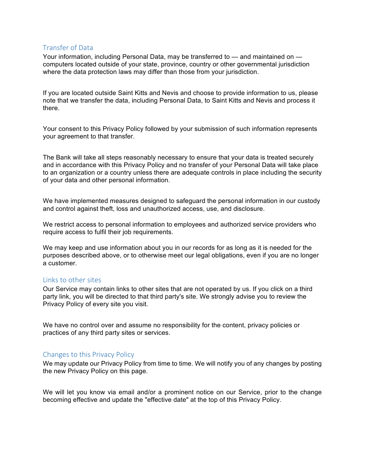## Transfer of Data

Your information, including Personal Data, may be transferred to — and maintained on computers located outside of your state, province, country or other governmental jurisdiction where the data protection laws may differ than those from your jurisdiction.

If you are located outside Saint Kitts and Nevis and choose to provide information to us, please note that we transfer the data, including Personal Data, to Saint Kitts and Nevis and process it there.

Your consent to this Privacy Policy followed by your submission of such information represents your agreement to that transfer.

The Bank will take all steps reasonably necessary to ensure that your data is treated securely and in accordance with this Privacy Policy and no transfer of your Personal Data will take place to an organization or a country unless there are adequate controls in place including the security of your data and other personal information.

We have implemented measures designed to safeguard the personal information in our custody and control against theft, loss and unauthorized access, use, and disclosure.

We restrict access to personal information to employees and authorized service providers who require access to fulfil their job requirements.

We may keep and use information about you in our records for as long as it is needed for the purposes described above, or to otherwise meet our legal obligations, even if you are no longer a customer.

## Links to other sites

Our Service may contain links to other sites that are not operated by us. If you click on a third party link, you will be directed to that third party's site. We strongly advise you to review the Privacy Policy of every site you visit.

We have no control over and assume no responsibility for the content, privacy policies or practices of any third party sites or services.

## Changes to this Privacy Policy

We may update our Privacy Policy from time to time. We will notify you of any changes by posting the new Privacy Policy on this page.

We will let you know via email and/or a prominent notice on our Service, prior to the change becoming effective and update the "effective date" at the top of this Privacy Policy.